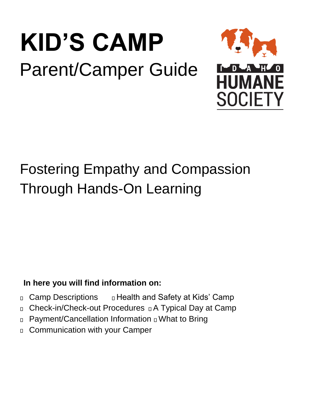# **KID'S CAMP**  Parent/Camper Guide



## Fostering Empathy and Compassion Through Hands-On Learning

### **In here you will find information on:**

- □ Camp Descriptions □ Health and Safety at Kids' Camp
- $\Box$  Check-in/Check-out Procedures  $\Box$  A Typical Day at Camp
- □ Payment/Cancellation Information □ What to Bring
- Communication with your Camper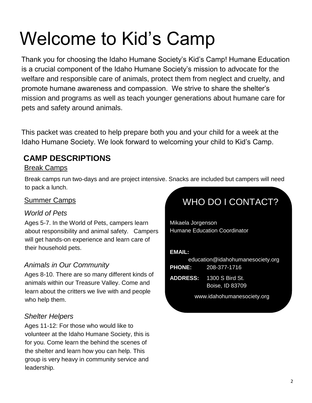## Welcome to Kid's Camp

Thank you for choosing the Idaho Humane Society's Kid's Camp! Humane Education is a crucial component of the Idaho Humane Society's mission to advocate for the welfare and responsible care of animals, protect them from neglect and cruelty, and promote humane awareness and compassion. We strive to share the shelter's mission and programs as well as teach younger generations about humane care for pets and safety around animals.

This packet was created to help prepare both you and your child for a week at the Idaho Humane Society. We look forward to welcoming your child to Kid's Camp.

#### **CAMP DESCRIPTIONS**

#### Break Camps

Break camps run two-days and are project intensive. Snacks are included but campers will need to pack a lunch.

#### Summer Camps

#### *World of Pets*

Ages 5-7. In the World of Pets, campers learn about responsibility and animal safety. Campers will get hands-on experience and learn care of their household pets.

#### *Animals in Our Community*

Ages 8-10. There are so many different kinds of animals within our Treasure Valley. Come and learn about the critters we live with and people who help them.

#### *Shelter Helpers*

Ages 11-12: For those who would like to volunteer at the Idaho Humane Society, this is for you. Come learn the behind the scenes of the shelter and learn how you can help. This group is very heavy in community service and leadership*.*

## WHO DO I CONTACT?

Mikaela Jorgenson Humane Education Coordinator

#### **EMAIL:**

| education@idahohumanesociety.org |                            |
|----------------------------------|----------------------------|
|                                  | <b>PHONE:</b> 208-377-1716 |
| -------                          |                            |

**ADDRESS:** 1300 S Bird St. Boise, ID 83709

www.idahohumanesociety.org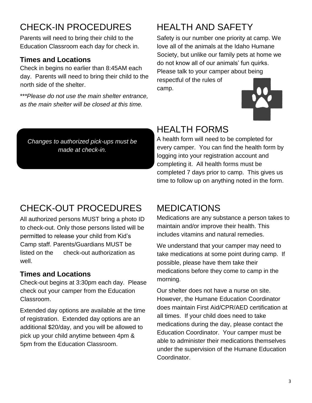## CHECK-IN PROCEDURES

Parents will need to bring their child to the Education Classroom each day for check in.

#### **Times and Locations**

Check in begins no earlier than 8:45AM each day. Parents will need to bring their child to the north side of the shelter.

*\*\*\*Please do not use the main shelter entrance, as the main shelter will be closed at this time.* 

## HEALTH AND SAFETY

Safety is our number one priority at camp. We love all of the animals at the Idaho Humane Society, but unlike our family pets at home we do not know all of our animals' fun quirks. Please talk to your camper about being respectful of the rules of camp.



*Changes to authorized pick-ups must be made at check-in.*

### HEALTH FORMS

A health form will need to be completed for every camper. You can find the health form by logging into your registration account and completing it. All health forms must be completed 7 days prior to camp. This gives us time to follow up on anything noted in the form.

## CHECK-OUT PROCEDURES

All authorized persons MUST bring a photo ID to check-out. Only those persons listed will be permitted to release your child from Kid's Camp staff. Parents/Guardians MUST be listed on the check-out authorization as well.

#### **Times and Locations**

Check-out begins at 3:30pm each day. Please check out your camper from the Education Classroom.

Extended day options are available at the time of registration. Extended day options are an additional \$20/day, and you will be allowed to pick up your child anytime between 4pm & 5pm from the Education Classroom.

### MEDICATIONS

Medications are any substance a person takes to maintain and/or improve their health. This includes vitamins and natural remedies.

We understand that your camper may need to take medications at some point during camp. If possible, please have them take their medications before they come to camp in the morning.

Our shelter does not have a nurse on site. However, the Humane Education Coordinator does maintain First Aid/CPR/AED certification at all times. If your child does need to take medications during the day, please contact the Education Coordinator. Your camper must be able to administer their medications themselves under the supervision of the Humane Education Coordinator.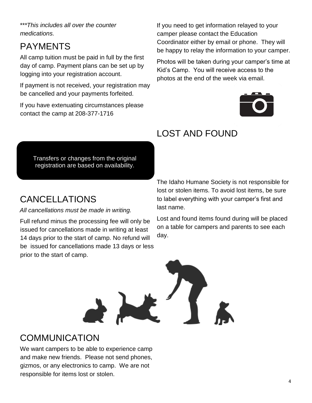*\*\*\*This includes all over the counter medications.* 

## PAYMENTS

All camp tuition must be paid in full by the first day of camp. Payment plans can be set up by logging into your registration account.

If payment is not received, your registration may be cancelled and your payments forfeited.

If you have extenuating circumstances please contact the camp at 208-377-1716

If you need to get information relayed to your camper please contact the Education Coordinator either by email or phone. They will be happy to relay the information to your camper.

Photos will be taken during your camper's time at Kid's Camp. You will receive access to the photos at the end of the week via email.



## LOST AND FOUND

Transfers or changes from the original registration are based on availability.

## CANCELLATIONS

#### *All cancellations must be made in writing.*

Full refund minus the processing fee will only be issued for cancellations made in writing at least 14 days prior to the start of camp. No refund will be issued for cancellations made 13 days or less prior to the start of camp.

The Idaho Humane Society is not responsible for lost or stolen items. To avoid lost items, be sure to label everything with your camper's first and last name.

Lost and found items found during will be placed on a table for campers and parents to see each day.



### **COMMUNICATION**

We want campers to be able to experience camp and make new friends. Please not send phones, gizmos, or any electronics to camp. We are not responsible for items lost or stolen.